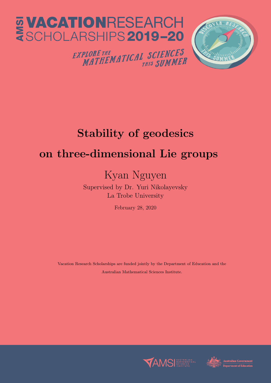

## Stability of geodesics on three-dimensional Lie groups

## Kyan Nguyen

Supervised by Dr. Yuri Nikolayevsky La Trobe University

February 28, 2020

Vacation Research Scholarships are funded jointly by the Department of Education and the Australian Mathematical Sciences Institute.



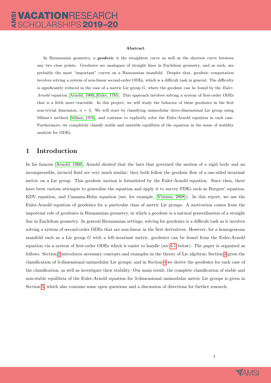#### Abstract

In Riemannian geometry, a **geodesic** is the straightest curve as well as the shortest curve between any two close points. Geodesics are analogues of straight lines in Euclidean geometry, and as such, are probably the most "important" curves on a Riemannian manifold. Despite that, geodesic computation involves solving a system of non-linear second-order ODEs, which is a difficult task in general. The difficulty is significantly reduced in the case of a metric Lie group  $G$ , where the geodesic can be found by the *Euler*-Arnold equation [\[Arnold, 1966\]](#page-14-0),[\[Euler, 1765\]](#page-14-1). This approach involves solving a system of first-order ODEs that is a little more tractable. In this project, we will study the behavior of these geodesics in the first non-trivial dimension,  $n = 3$ . We will start by classifying unimodular three-dimensional Lie group using Milnor's method [\[Milnor, 1976\]](#page-14-2), and continue to explicitly solve the Euler-Arnold equation in each case. Furthermore, we completely classify stable and unstable equilibria of the equation in the sense of stability analysis for ODEs.

### 1 Introduction

In his famous [\[Arnold, 1966\]](#page-14-0), Arnold showed that the laws that governed the motion of a rigid body and an incompressible, inviscid fluid are very much similar: they both follow the geodesic flow of a one-sided invariant metric on a Lie group. This geodesic motion is formulated by the Euler-Arnold equation. Since then, there have been various attempts to generalise the equation and apply it to survey PDEs such as Burgers' equation, KDV equation, and Camassa-Holm equation (see, for example, [\[Vizman, 2008\]](#page-14-3)). In this report, we use the Euler-Arnold equation of geodesics for a particular class of metric Lie groups. A motivation comes from the important role of geodesics in Riemannian geometry, in which a geodesic is a natural generalisation of a straight line in Euclidean geometry. In general Riemannian settings, solving for geodesics is a difficult task as it involves solving a system of second-order ODEs that are non-linear in the first derivatives. However, for a homogeneous manifold such as a Lie group G with a left-invariant metric, geodesics can be found from the Euler-Arnold equation via a system of first-order ODEs which is easier to handle (see [4.1](#page-6-0) below). The paper is organised as follows. Section [2](#page-2-0) introduces necessary concepts and examples in the theory of Lie algebras; Section [3](#page-4-0) gives the classification of 3-dimensional unimodular Lie groups; and in Section [4](#page-6-1) we derive the geodesics for each case of the classification, as well as investigate their stability. Our main result, the complete classification of stable and non-stable equilibria of the Euler-Arnold equation for 3-dimensional unimodular metric Lie groups is given in Section [5,](#page-12-0) which also contains some open questions and a discussion of directions for further research.

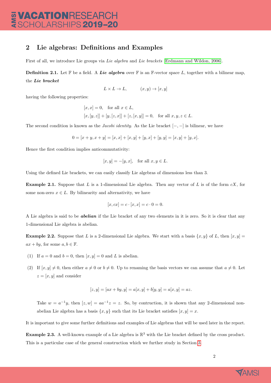### <span id="page-2-0"></span>2 Lie algebras: Definitions and Examples

First of all, we introduce Lie groups via Lie algebra and Lie brackets [\[Erdmann and Wildon, 2006\]](#page-14-4).

**Definition 2.1.** Let  $\mathbb{F}$  be a field. A Lie algebra over  $\mathbb{F}$  is an  $\mathbb{F}$ -vector space L, together with a bilinear map. the Lie bracket

$$
L \times L \to L, \qquad (x, y) \to [x, y]
$$

having the following properties:

$$
[x, x] = 0, \text{ for all } x \in L,
$$
  

$$
[x, [y, z]] + [y, [z, x]] + [z, [x, y]] = 0, \text{ for all } x, y, z \in L.
$$

The second condition is known as the *Jacobi identity*. As the Lie bracket  $[-,-]$  is bilinear, we have

$$
0 = [x + y, x + y] = [x, x] + [x, y] + [y, x] + [y, y] = [x, y] + [y, x].
$$

Hence the first condition implies anticommutativity:

$$
[x, y] = -[y, x],
$$
 for all  $x, y \in L$ .

Using the defined Lie brackets, we can easily classify Lie algebras of dimensions less than 3.

**Example 2.1.** Suppose that L is a 1-dimensional Lie algebra. Then any vector of L is of the form  $cX$ , for some non-zero  $x \in L$ . By bilinearity and alternativity, we have

$$
[x, cx] = c \cdot [x, x] = c \cdot 0 = 0.
$$

A Lie algebra is said to be **abelian** if the Lie bracket of any two elements in it is zero. So it is clear that any 1-dimensional Lie algebra is abelian.

<span id="page-2-1"></span>**Example 2.2.** Suppose that L is a 2-dimensional Lie algebra. We start with a basis  $\{x, y\}$  of L, then  $[x, y] =$  $ax + by$ , for some  $a, b \in \mathbb{F}$ .

- (1) If  $a = 0$  and  $b = 0$ , then  $[x, y] = 0$  and L is abelian.
- (2) If  $[x, y] \neq 0$ , then either  $a \neq 0$  or  $b \neq 0$ . Up to renaming the basis vectors we can assume that  $a \neq 0$ . Let  $z = [x, y]$  and consider

$$
[z, y] = [ax + by, y] = a[x, y] + b[y, y] = a[x, y] = az.
$$

Take  $w = a^{-1}y$ , then  $[z, w] = aa^{-1}z = z$ . So, by contruction, it is shown that any 2-dimensional nonabelian Lie algebra has a basis  $\{x, y\}$  such that its Lie bracket satisfies  $[x, y] = x$ .

It is important to give some further definitions and examples of Lie algebras that will be used later in the report.

**Example 2.3.** A well-known example of a Lie algebra is  $\mathbb{R}^3$  with the Lie bracket defined by the cross product. This is a particular case of the general construction which we further study in Section [3.](#page-4-0)

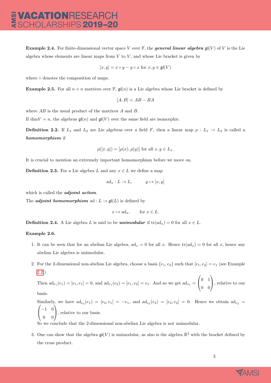**Example 2.4.** For finite-dimensional vector space V over  $\mathbb{F}$ , the **general linear algebra**  $\mathfrak{g}(V)$  of V is the Lie algebra whose elements are linear maps from  $V$  to  $V$ , and whose Lie bracket is given by

$$
[x, y] = x \circ y - y \circ x \text{ for } x, y \in \mathfrak{gl}(V)
$$

where ∘ denotes the composition of maps.

**Example 2.5.** For all  $n \times n$  matrices over F,  $\mathfrak{gl}(n)$  is a Lie algebra whose Lie bracket is defined by

$$
[A, B] = AB - BA
$$

where AB is the usual product of the matrices A and B.

If dim  $V = n$ , the algebras  $\mathfrak{gl}(n)$  and  $\mathfrak{gl}(V)$  over the same field are isomorphic.

**Definition 2.2.** If  $L_1$  and  $L_2$  are Lie algebras over a field F, then a linear map  $\rho: L_1 \to L_2$  is called a homomorphism if

$$
\rho([x, y]) = [\rho(x), \rho(y)] \text{ for all } x, y \in L_1.
$$

It is crucial to mention an extremely important homomorphism before we move on.

**Definition 2.3.** For a Lie algebra L and any  $x \in L$  we define a map

$$
ad_x: L \to L, \qquad y \mapsto [x, y]
$$

which is called the *adjoint action*.

The *adjoint* homomorphism ad :  $L \rightarrow \mathfrak{gl}(L)$  is defined by

$$
x \mapsto ad_x
$$
, for  $x \in L$ .

**Definition 2.4.** A Lie algebra L is said to be *unimodular* if  $tr(\text{ad}_x) = 0$  for all  $x \in L$ .

#### Example 2.6.

- 1. It can be seen that for an abelian Lie algebra,  $ad_x = 0$  for all x. Hence  $tr(ad_x) = 0$  for all x, hence any abelian Lie algebra is unimodular.
- 2. For the 2-dimensional non-abelian Lie algebra, choose a basis  $\{e_1, e_2\}$  such that  $[e_1, e_2] = e_1$  (see Example [2.2.](#page-2-1))  $\overline{1}$

Then 
$$
ad_{e_1}(e_1) = [e_1, e_1] = 0
$$
, and  $ad_{e_1}(e_2) = [e_1, e_2] = e_1$ . And so we get  $ad_{e_1} = \begin{pmatrix} 0 & 1 \\ 0 & 0 \end{pmatrix}$ , relative to our basis.

Similarly, we have  $ad_{e_2}(e_1) = [e_2, e_1] = -e_1$ , and  $ad_{e_2}(e_2) = [e_2, e_2] = 0$ . Hence we obtain  $ad_{e_2} = (1, 0)$  $\mathcal{L}$ −1 0 0 0  $\setminus$ , relative to our basis.

So we conclude that the 2-dimensional non-abelian Lie algebra is not unimodular.

3. One can show that the algebra  $\mathfrak{gl}(V)$  is unimodular, as also is the algebra  $\mathbb{R}^3$  with the bracket defined by the cross product.

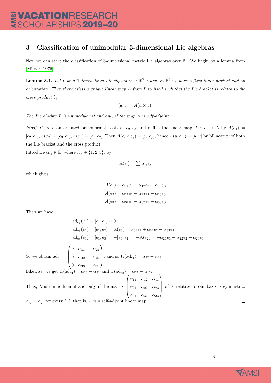### <span id="page-4-0"></span>3 Classification of unimodular 3-dimensional Lie algebras

Now we can start the classification of 3-dimensional metric Lie algebras over R. We begin by a lemma from [\[Milnor, 1976\]](#page-14-2).

<span id="page-4-1"></span>**Lemma 3.1.** Let L be a 3-dimensional Lie algebra over  $\mathbb{R}^3$ , where in  $\mathbb{R}^3$  we have a fixed inner product and an orientation. Then there exists a unique linear map A from L to itself such that the Lie bracket is related to the cross product by

$$
[u, v] = A(u \times v).
$$

The Lie algebra L is unimodular if and only if the map A is self-adjoint.

Proof. Choose an oriented orthonormal basis  $e_1, e_2, e_3$  and define the linear map  $A : L \to L$  by  $A(e_1) =$  $[e_2, e_3], A(e_2) = [e_3, e_1], A(e_3) = [e_1, e_2]$ . Then  $A(e_i \times e_j) = [e_i, e_j]$ , hence  $A(u \times v) = [u, v]$  by bilinearity of both the Lie bracket and the cross product.

Introduce  $\alpha_{ij} \in \mathbb{R}$ , where  $i, j \in \{1, 2, 3\}$ , by

$$
A(e_i) = \sum \alpha_{ij} e_j
$$

which gives:

$$
A(e_1) = \alpha_{11}e_1 + \alpha_{12}e_2 + \alpha_{13}e_3
$$
  

$$
A(e_2) = \alpha_{21}e_1 + \alpha_{22}e_2 + \alpha_{23}e_3
$$
  

$$
A(e_3) = \alpha_{31}e_1 + \alpha_{32}e_2 + \alpha_{33}e_3
$$

Then we have:

$$
ad_{e_1}(e_1) = [e_1, e_1] = 0
$$
  
\n
$$
ad_{e_1}(e_2) = [e_1, e_2] = A(e_3) = \alpha_{31}e_1 + \alpha_{32}e_2 + \alpha_{33}e_3
$$
  
\n
$$
ad_{e_1}(e_3) = [e_1, e_3] = -[e_3, e_1] = -A(e_2) = -\alpha_{21}e_1 - \alpha_{22}e_2 - \alpha_{23}e_3
$$
  
\nSo we obtain  $ad_{e_1} = \begin{pmatrix} 0 & \alpha_{31} & -\alpha_{21} \\ 0 & \alpha_{32} & -\alpha_{22} \\ 0 & \alpha_{33} & -\alpha_{23} \end{pmatrix}$ , and so  $tr(ad_{e_1}) = \alpha_{32} - \alpha_{23}$ .  
\nLikewise, we get  $tr(ad_{e_2}) = \alpha_{13} - \alpha_{31}$  and  $tr(ad_{e_3}) = \alpha_{21} - \alpha_{12}$ .  
\nThus, *L* is unimodular if and only if the matrix  $\begin{pmatrix} \alpha_{11} & \alpha_{12} & \alpha_{13} \\ \alpha_{21} & \alpha_{22} & \alpha_{23} \\ \alpha_{31} & \alpha_{32} & \alpha_{33} \end{pmatrix}$  of *A* relative to our basis is symmetric:  
\n $\alpha_{ij} = \alpha_{ji}$  for every *i*, *j*, that is, *A* is a self-adjoint linear map.

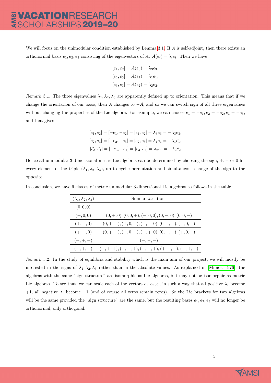We will focus on the unimodular condition established by Lemma [3.1.](#page-4-1) If A is self-adjoint, then there exists an orthonormal basis  $e_1, e_2, e_3$  consisting of the eigenvectors of A:  $A(e_i) = \lambda_i e_i$ . Then we have

$$
[e_1, e_2] = A(e_3) = \lambda_3 e_3,
$$
  

$$
[e_2, e_3] = A(e_1) = \lambda_1 e_1,
$$
  

$$
[e_3, e_1] = A(e_2) = \lambda_2 e_2.
$$

Remark 3.1. The three eigenvalues  $\lambda_1, \lambda_2, \lambda_3$  are apparently defined up to orientation. This means that if we change the orientation of our basis, then A changes to  $-A$ , and so we can switch sign of all three eigenvalues without changing the properties of the Lie algebra. For example, we can choose  $\tilde{e}_1 = -e_1, \tilde{e}_2 = -e_2, \tilde{e}_3 = -e_3$ , and that gives

$$
[\tilde{e_1}, \tilde{e_2}] = [-e_1, -e_2] = [e_1, e_2] = \lambda_3 e_3 = -\lambda_3 \tilde{e_3},
$$
  
\n
$$
[\tilde{e_2}, \tilde{e_3}] = [-e_2, -e_3] = [e_2, e_3] = \lambda_1 e_1 = -\lambda_1 \tilde{e_1},
$$
  
\n
$$
[\tilde{e_3}, \tilde{e_1}] = [-e_3, -e_1] = [e_3, e_1] = \lambda_2 e_2 = -\lambda_2 \tilde{e_2}
$$

Hence all unimodular 3-dimensional metric Lie algebras can be determined by choosing the sign, +, − or 0 for every element of the triple  $(\lambda_1, \lambda_2, \lambda_3)$ , up to cyclic permutation and simultaneous change of the sign to the opposite.

In conclusion, we have 6 classes of metric unimodular 3-dimensional Lie algebras as follows in the table.

| $(\lambda_1, \lambda_2, \lambda_3)$ | Similar variations                                      |  |  |
|-------------------------------------|---------------------------------------------------------|--|--|
| (0,0,0)                             |                                                         |  |  |
| $(+, 0, 0)$                         | $(0, +, 0), (0, 0, +), (-, 0, 0), (0, -, 0), (0, 0, -)$ |  |  |
| $(+, +, 0)$                         | $(0, +, +), (+, 0, +), (-, -, 0), (0, -, -), (-, 0, -)$ |  |  |
| $(+, -, 0)$                         | $(0, +, -), (-, 0, +), (-, +, 0), (0, -, +), (+, 0, -)$ |  |  |
| $(+,+,+)$                           | $(-,-,-)$                                               |  |  |
| $(+, +, -)$                         | $\vert$ $(-,+,+), (+,-,+) , (-,-,+) , (+,-,-),(-,+,-)$  |  |  |

Remark 3.2. In the study of equilibria and stability which is the main aim of our project, we will mostly be interested in the signs of  $\lambda_1, \lambda_2, \lambda_3$  rather than in the absolute values. As explained in [\[Milnor, 1976\]](#page-14-2), the algebras with the same "sign structure" are isomorphic as Lie algebras, but may not be isomorphic as metric Lie algebras. To see that, we can scale each of the vectors  $e_1, e_2, e_3$  in such a way that all positive  $\lambda_i$  become +1, all negative  $\lambda_i$  become −1 (and of course all zeros remain zeros). So the Lie brackets for two algebras will be the same provided the "sign structure" are the same, but the resulting bases  $e_1, e_2, e_3$  will no longer be orthonormal, only orthogonal.

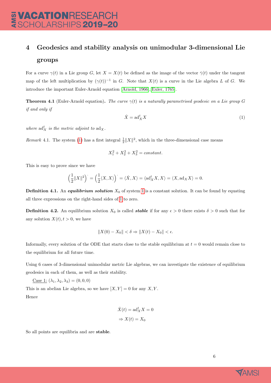# VACATIONRESEARCH<br>SCHOLARSHIPS 2019–20

### <span id="page-6-1"></span>4 Geodesics and stability analysis on unimodular 3-dimensional Lie groups

For a curve  $\gamma(t)$  in a Lie group G, let  $X = X(t)$  be defined as the image of the vector  $\dot{\gamma}(t)$  under the tangent map of the left multiplication by  $(\gamma(t))^{-1}$  in G. Note that  $X(t)$  is a curve in the Lie algebra L of G. We introduce the important Euler-Arnold equation [\[Arnold, 1966\]](#page-14-0),[\[Euler, 1765\]](#page-14-1).

<span id="page-6-0"></span>**Theorem 4.1** (Euler-Arnold equation). The curve  $\gamma(t)$  is a naturally parametrised geodesic on a Lie group G if and only if

<span id="page-6-2"></span>
$$
\dot{X} = \mathrm{ad}_X^t X \tag{1}
$$

where  $\mathrm{ad}^t_X$  is the metric adjoint to  $\mathrm{ad}_X$ .

<span id="page-6-3"></span>*Remark* 4.1. The system [\(1\)](#page-6-2) has a first integral  $\frac{1}{2}||X||^2$ , which in the three-dimensional case means

$$
X_1^2 + X_2^2 + X_3^2 = constant.
$$

This is easy to prove since we have

$$
\left(\frac{1}{2}||X||^2\right)^{1} = \left(\frac{1}{2}\langle X,X\rangle\right)^{1} = \langle X,X\rangle = \langle \mathrm{ad}_X^t X, X\rangle = \langle X, \mathrm{ad}_X X\rangle = 0.
$$

**Definition 4.1.** An *equilibrium solution*  $X_0$  of system [1](#page-6-2) is a constant solution. It can be found by equating all three expressions on the right-hand sides of [1](#page-6-2) to zero.

**Definition 4.2.** An equilibrium solution  $X_0$  is called **stable** if for any  $\epsilon > 0$  there exists  $\delta > 0$  such that for any solution  $X(t)$ ,  $t > 0$ , we have

$$
||X(0) - X_0|| < \delta \Rightarrow ||X(t) - X_0|| < \epsilon.
$$

Informally, every solution of the ODE that starts close to the stable equilibrium at  $t = 0$  would remain close to the equilibrium for all future time.

Using 6 cases of 3-dimensional unimodular metric Lie algebras, we can investigate the existence of equilibrium geodesics in each of them, as well as their stability.

$$
\underline{\text{Case 1:}}\ (\lambda_1, \lambda_2, \lambda_3) = (0, 0, 0)
$$

This is an abelian Lie algebra, so we have  $[X, Y] = 0$  for any X, Y. Hence

$$
\dot{X}(t) = \text{ad}_X^t X = 0
$$

$$
\Rightarrow X(t) = X_0
$$

So all points are equilibria and are stable.

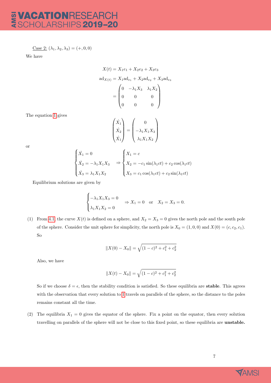### **VACATIONRESEARCH<br>SCHOLARSHIPS 2019-20** AMSI

Case 2:  $(\lambda_1, \lambda_2, \lambda_3) = (+, 0, 0)$ 

We have

$$
X(t) = X_1e_1 + X_2e_2 + X_3e_3
$$
  
ad<sub>X(t)</sub> = X<sub>1</sub>ad<sub>e<sub>1</sub></sub> + X<sub>2</sub>ad<sub>e<sub>2</sub></sub> + X<sub>3</sub>ad<sub>e<sub>3</sub></sub>  
= 
$$
\begin{pmatrix} 0 & -\lambda_1 X_3 & \lambda_1 X_2 \\ 0 & 0 & 0 \\ 0 & 0 & 0 \end{pmatrix}
$$

The equation [1](#page-6-2) gives

$$
\begin{pmatrix} \dot{X}_1 \\ \dot{X}_2 \\ \dot{X}_1 \end{pmatrix} = \begin{pmatrix} 0 \\ -\lambda_1 X_1 X_3 \\ \lambda_1 X_1 X_2 \end{pmatrix}
$$

or

$$
\begin{cases}\n\dot{X}_1 = 0 \\
\dot{X}_2 = -\lambda_1 X_1 X_3 \\
\dot{X}_3 = \lambda_1 X_1 X_2\n\end{cases}\n\Rightarrow\n\begin{cases}\nX_1 = c \\
X_2 = -c_1 \sin(\lambda_1 ct) + c_2 \cos(\lambda_1 ct) \\
X_3 = c_1 \cos(\lambda_1 ct) + c_2 \sin(\lambda_1 ct)\n\end{cases}
$$

Equilibrium solutions are given by

$$
\begin{cases}\n-\lambda_1 X_1 X_3 = 0 \\
\lambda_1 X_1 X_2 = 0\n\end{cases} \Rightarrow X_1 = 0 \text{ or } X_2 = X_3 = 0.
$$

(1) From [4.1,](#page-6-3) the curve  $X(t)$  is defined on a sphere, and  $X_2 = X_3 = 0$  gives the north pole and the south pole of the sphere. Consider the unit sphere for simplicity, the north pole is  $X_0 = (1, 0, 0)$  and  $X(0) = (c, c_2, c_1)$ . So

$$
||X(0) - X_0|| = \sqrt{(1 - c)^2 + c_1^2 + c_2^2}
$$

Also, we have

$$
||X(t) - X_0|| = \sqrt{(1 - c)^2 + c_1^2 + c_2^2}
$$

So if we choose  $\delta = \epsilon$ , then the stability condition is satisfied. So these equilibria are **stable**. This agrees with the observation that every solution to [1](#page-6-2) travels on parallels of the sphere, so the distance to the poles remains constant all the time.

(2) The equilibria  $X_1 = 0$  gives the equator of the sphere. Fix a point on the equator, then every solution travelling on parallels of the sphere will not be close to this fixed point, so these equilibria are unstable.

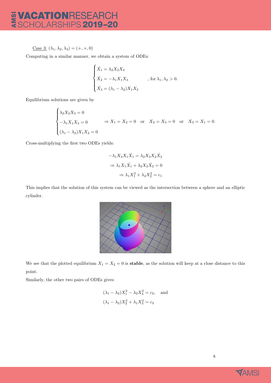Case 3:  $(\lambda_1, \lambda_2, \lambda_3) = (+, +, 0)$ 

Computing in a similar manner, we obtain a system of ODEs:

$$
\begin{cases}\n\dot{X}_1 = \lambda_2 X_2 X_3 \\
\dot{X}_2 = -\lambda_1 X_1 X_3 \\
\dot{X}_3 = (\lambda_1 - \lambda_2) X_1 X_2\n\end{cases}
$$
, for  $\lambda_1, \lambda_2 > 0$ .

Equilibrium solutions are given by

$$
\begin{cases}\n\lambda_2 X_2 X_3 = 0 \\
-\lambda_1 X_1 X_3 = 0 \\
(\lambda_1 - \lambda_2) X_1 X_2 = 0\n\end{cases} \Rightarrow X_1 = X_2 = 0 \text{ or } X_2 = X_3 = 0 \text{ or } X_3 = X_1 = 0.
$$

Cross-multiplying the first two ODEs yields:

$$
-\lambda_1 X_3 X_1 \dot{X}_1 = \lambda_2 X_3 X_2 \dot{X}_2
$$

$$
\Rightarrow \lambda_1 X_1 \dot{X}_1 + \lambda_2 X_2 \dot{X}_2 = 0
$$

$$
\Rightarrow \lambda_1 X_1^2 + \lambda_2 X_2^2 = c_1
$$

This implies that the solution of this system can be viewed as the intersection between a sphere and an elliptic cylinder.



We see that the plotted equilibrium  $X_1 = X_2 = 0$  is **stable**, as the solution will keep at a close distance to this point.

Similarly, the other two pairs of ODEs gives:

$$
(\lambda_1 - \lambda_2)X_1^2 - \lambda_2 X_3^2 = c_2
$$
, and  
 $(\lambda_1 - \lambda_2)X_2^2 + \lambda_1 X_3^2 = c_3$ 

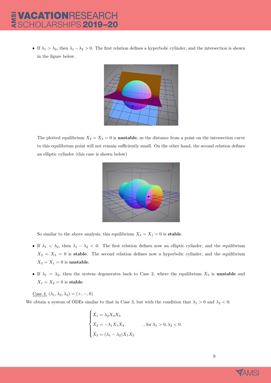If  $\lambda_1 > \lambda_2$ , then  $\lambda_1 - \lambda_2 > 0$ . The first relation defines a hyperbolic cylinder, and the intersection is shown in the figure below.



The plotted equilibrium  $X_2 = X_3 = 0$  is **unstable**, as the distance from a point on the intersection curve to this equilibrium point will not remain sufficiently small. On the other hand, the second relation defines an elliptic cylinder (this case is shown below)



So similar to the above analysis, this equilibrium  $X_3 = X_1 = 0$  is **stable**.

- If  $\lambda_1 < \lambda_2$ , then  $\lambda_1 \lambda_2 < 0$ . The first relation defines now an elliptic cylinder, and the equilibrium  $X_2 = X_3 = 0$  is stable. The second relation defines now a hyperbolic cylinder, and the equilibrium  $X_3 = X_1 = 0$  is unstable.
- If  $\lambda_1 = \lambda_2$ , then the system degenerates back to Case 2, where the equilibrium  $X_3$  is unstable and  $X_1 = X_2 = 0$  is stable.

Case 4:  $(\lambda_1, \lambda_2, \lambda_3) = (+, -, 0)$ 

We obtain a system of ODEs similar to that in Case 3, but with the condition that  $\lambda_1 > 0$  and  $\lambda_2 < 0$ :

$$
\begin{cases}\n\dot{X}_1 = \lambda_2 X_2 X_3 \\
\dot{X}_2 = -\lambda_1 X_1 X_3 \\
\dot{X}_3 = (\lambda_1 - \lambda_2) X_1 X_2\n\end{cases}
$$
, for  $\lambda_1 > 0, \lambda_2 < 0$ .

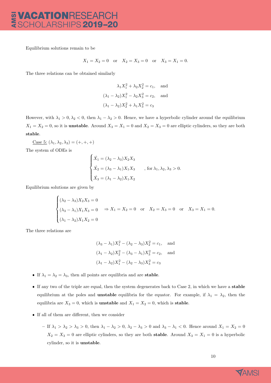# **VACATIONRESEARCH<br>SCHOLARSHIPS 2019-20**

Equilibrium solutions remain to be

$$
X_1 = X_2 = 0
$$
 or  $X_2 = X_3 = 0$  or  $X_3 = X_1 = 0$ .

The three relations can be obtained similarly

$$
\lambda_1 X_1^2 + \lambda_2 X_2^2 = c_1
$$
, and  
\n $(\lambda_1 - \lambda_2) X_1^2 - \lambda_2 X_3^2 = c_2$ , and  
\n $(\lambda_1 - \lambda_2) X_2^2 + \lambda_1 X_3^2 = c_3$ 

However, with  $\lambda_1 > 0, \lambda_2 < 0$ , then  $\lambda_1 - \lambda_2 > 0$ . Hence, we have a hyperbolic cylinder around the equilibrium  $X_1 = X_2 = 0$ , so it is **unstable**. Around  $X_3 = X_1 = 0$  and  $X_2 = X_3 = 0$  are elliptic cylinders, so they are both stable.

<u>Case 5:</u>  $(\lambda_1, \lambda_2, \lambda_3) = (+, +, +)$ 

The system of ODEs is

$$
\begin{cases}\n\dot{X}_1 = (\lambda_2 - \lambda_3)X_2X_3 \\
\dot{X}_2 = (\lambda_3 - \lambda_1)X_1X_3, \quad \text{, for } \lambda_1, \lambda_2, \lambda_3 > 0. \\
\dot{X}_3 = (\lambda_1 - \lambda_2)X_1X_2\n\end{cases}
$$

Equilibrium solutions are given by

$$
\begin{cases} (\lambda_2 - \lambda_3) X_2 X_3 = 0 \\ (\lambda_3 - \lambda_1) X_1 X_3 = 0 \Rightarrow X_1 = X_2 = 0 \text{ or } X_2 = X_3 = 0 \text{ or } X_3 = X_1 = 0. \\ (\lambda_1 - \lambda_2) X_1 X_2 = 0 \end{cases}
$$

The three relations are

$$
(\lambda_3 - \lambda_1)X_1^2 - (\lambda_2 - \lambda_3)X_2^2 = c_1, \text{ and}
$$
  
\n
$$
(\lambda_1 - \lambda_2)X_2^2 - (\lambda_3 - \lambda_1)X_3^2 = c_2, \text{ and}
$$
  
\n
$$
(\lambda_1 - \lambda_2)X_1^2 - (\lambda_2 - \lambda_3)X_3^2 = c_3
$$

- If  $\lambda_1 = \lambda_2 = \lambda_3$ , then all points are equilibria and are **stable**.
- If any two of the triple are equal, then the system degenerates back to Case 2, in which we have a stable equilibrium at the poles and **unstable** equilibria for the equator. For example, if  $\lambda_1 = \lambda_2$ , then the equilibria are  $X_3 = 0$ , which is **unstable** and  $X_1 = X_2 = 0$ , which is **stable**.
- $\bullet\,$  If all of them are different, then we consider
	- If  $\lambda_1 > \lambda_2 > \lambda_3 > 0$ , then  $\lambda_1 \lambda_2 > 0$ ,  $\lambda_2 \lambda_3 > 0$  and  $\lambda_3 \lambda_1 < 0$ . Hence around  $X_1 = X_2 = 0$  $X_2 = X_3 = 0$  are elliptic cylinders, so they are both **stable**. Around  $X_3 = X_1 = 0$  is a hyperbolic cylinder, so it is unstable.

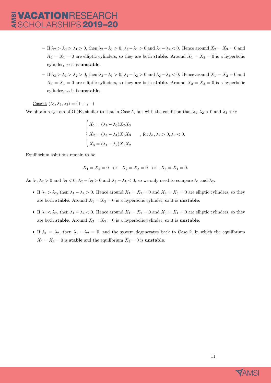- If  $\lambda_2 > \lambda_3 > \lambda_1 > 0$ , then  $\lambda_2 \lambda_3 > 0$ ,  $\lambda_3 \lambda_1 > 0$  and  $\lambda_1 \lambda_2 < 0$ . Hence around  $X_2 = X_3 = 0$  and  $X_3 = X_1 = 0$  are elliptic cylinders, so they are both **stable**. Around  $X_1 = X_2 = 0$  is a hyperbolic cylinder, so it is unstable.
- If  $\lambda_3 > \lambda_1 > \lambda_2 > 0$ , then  $\lambda_3 \lambda_1 > 0$ ,  $\lambda_1 \lambda_2 > 0$  and  $\lambda_2 \lambda_3 < 0$ . Hence around  $X_1 = X_2 = 0$  and  $X_3 = X_1 = 0$  are elliptic cylinders, so they are both **stable**. Around  $X_2 = X_3 = 0$  is a hyperbolic cylinder, so it is unstable.

Case 6:  $(\lambda_1, \lambda_2, \lambda_3) = (+, +, -)$ 

We obtain a system of ODEs similar to that in Case 5, but with the condition that  $\lambda_1, \lambda_2 > 0$  and  $\lambda_3 < 0$ :

$$
\begin{cases}\n\dot{X}_1 = (\lambda_2 - \lambda_3) X_2 X_3 \\
\dot{X}_2 = (\lambda_3 - \lambda_1) X_1 X_3 \\
\dot{X}_3 = (\lambda_1 - \lambda_2) X_1 X_2\n\end{cases}
$$
, for  $\lambda_1, \lambda_2 > 0, \lambda_3 < 0$ .

Equilibrium solutions remain to be

$$
X_1 = X_2 = 0
$$
 or  $X_2 = X_3 = 0$  or  $X_3 = X_1 = 0$ .

As  $\lambda_1, \lambda_2 > 0$  and  $\lambda_3 < 0, \lambda_2 - \lambda_3 > 0$  and  $\lambda_3 - \lambda_1 < 0$ , so we only need to compare  $\lambda_1$  and  $\lambda_2$ .

- If  $\lambda_1 > \lambda_2$ , then  $\lambda_1 \lambda_2 > 0$ . Hence around  $X_1 = X_2 = 0$  and  $X_2 = X_3 = 0$  are elliptic cylinders, so they are both stable. Around  $X_1 = X_3 = 0$  is a hyperbolic cylinder, so it is **unstable**.
- If  $\lambda_1 < \lambda_2$ , then  $\lambda_1 \lambda_2 < 0$ . Hence around  $X_1 = X_2 = 0$  and  $X_3 = X_1 = 0$  are elliptic cylinders, so they are both stable. Around  $X_2 = X_3 = 0$  is a hyperbolic cylinder, so it is **unstable**.
- If  $\lambda_1 = \lambda_2$ , then  $\lambda_1 \lambda_2 = 0$ , and the system degenerates back to Case 2, in which the equilibrium  $X_1 = X_2 = 0$  is stable and the equilibrium  $X_3 = 0$  is unstable.

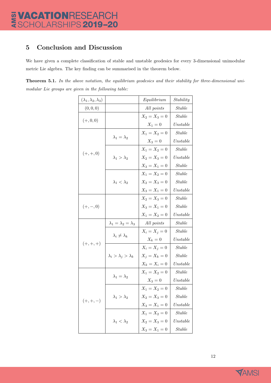### <span id="page-12-0"></span>5 Conclusion and Discussion

We have given a complete classification of stable and unstable geodesics for every 3-dimensional unimodular metric Lie algebra. The key finding can be summarised in the theorem below.

Theorem 5.1. In the above notation, the equilibrium geodesics and their stability for three-dimensional unimodular Lie groups are given in the following table:

| $(\lambda_1, \lambda_2, \lambda_3)$ |                                     | Equilibrium     | Stability        |
|-------------------------------------|-------------------------------------|-----------------|------------------|
| (0,0,0)                             |                                     | All points      | Stable           |
|                                     |                                     | $X_2 = X_3 = 0$ | $Stable$         |
| $(+, 0, 0)$                         |                                     | $X_1 = 0$       | Unstable         |
|                                     | $\lambda_1 = \lambda_2$             | $X_1 = X_2 = 0$ | Stable           |
|                                     |                                     | $X_3 = 0$       | Unstable         |
|                                     | $\lambda_1 > \lambda_2$             | $X_1 = X_2 = 0$ | <b>Stable</b>    |
| $(+,+,0)$                           |                                     | $X_2 = X_3 = 0$ | ${\it Unstable}$ |
|                                     |                                     | $X_3 = X_1 = 0$ | Stable           |
|                                     |                                     | $X_1 = X_2 = 0$ | Stable           |
|                                     | $\lambda_1 < \lambda_2$             | $X_2 = X_3 = 0$ | Stable           |
|                                     |                                     | $X_3 = X_1 = 0$ | Unstable         |
|                                     |                                     | $X_2 = X_3 = 0$ | <i>Stable</i>    |
| $(+,-,0)$                           |                                     | $X_3 = X_1 = 0$ | Stable           |
|                                     |                                     | $X_1 = X_2 = 0$ | Unstable         |
|                                     | $\lambda_1 = \lambda_2 = \lambda_3$ | All points      | <i>Stable</i>    |
| $(+,+,+)$                           | $\lambda_i \neq \lambda_k$          | $X_i = X_j = 0$ | <b>Stable</b>    |
|                                     |                                     | $X_k=0$         | Unstable         |
|                                     | $\lambda_i > \lambda_j > \lambda_k$ | $X_i = X_j = 0$ | <b>Stable</b>    |
|                                     |                                     | $X_j = X_k = 0$ | <i>Stable</i>    |
|                                     |                                     | $X_k = X_i = 0$ | Unstable         |
| $(+, +, -)$                         | $\lambda_1 = \lambda_2$             | $X_1 = X_2 = 0$ | Stable           |
|                                     |                                     | $X_3 = 0$       | Unstable         |
|                                     | $\lambda_1 > \lambda_2$             | $X_1 = X_2 = 0$ | <i>Stable</i>    |
|                                     |                                     | $X_2 = X_3 = 0$ | <i>Stable</i>    |
|                                     |                                     | $X_3 = X_1 = 0$ | Unstable         |
|                                     | $\lambda_1 < \lambda_2$             | $X_1 = X_2 = 0$ | <b>Stable</b>    |
|                                     |                                     | $X_2 = X_3 = 0$ | Unstable         |
|                                     |                                     | $X_3 = X_1 = 0$ | <b>Stable</b>    |

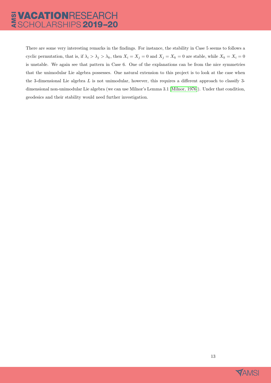There are some very interesting remarks in the findings. For instance, the stability in Case 5 seems to follows a cyclic permutation, that is, if  $\lambda_i > \lambda_j > \lambda_k$ , then  $X_i = X_j = 0$  and  $X_j = X_k = 0$  are stable, while  $X_k = X_i = 0$ is unstable. We again see that pattern in Case 6. One of the explanations can be from the nice symmetries that the unimodular Lie algebra possesses. One natural extension to this project is to look at the case when the 3-dimensional Lie algebra L is not unimodular, however, this requires a different approach to classify 3 dimensional non-unimodular Lie algebra (we can use Milnor's Lemma 3.1 [\[Milnor, 1976\]](#page-14-2)). Under that condition, geodesics and their stability would need further investigation.